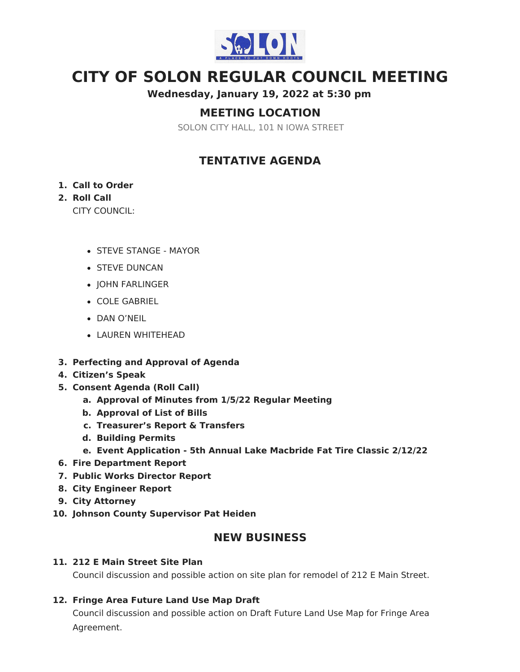

# **CITY OF SOLON REGULAR COUNCIL MEETING**

**Wednesday, January 19, 2022 at 5:30 pm**

# **MEETING LOCATION**

SOLON CITY HALL, 101 N IOWA STREET

# **TENTATIVE AGENDA**

#### **1. Call to Order**

### **2. Roll Call**

CITY COUNCIL:

- STEVE STANGE MAYOR
- **STEVE DUNCAN**
- JOHN FARLINGER
- COLE GABRIEL
- DAN O'NEIL
- LAUREN WHITEHEAD
- **3. Perfecting and Approval of Agenda**
- **4. Citizen's Speak**
- **5. Consent Agenda (Roll Call)**
	- **a. Approval of Minutes from 1/5/22 Regular Meeting**
	- **b. Approval of List of Bills**
	- **c. Treasurer's Report & Transfers**
	- **d. Building Permits**
	- **e. Event Application - 5th Annual Lake Macbride Fat Tire Classic 2/12/22**
- **6. Fire Department Report**
- **7. Public Works Director Report**
- **8. City Engineer Report**
- **9. City Attorney**
- **10. Johnson County Supervisor Pat Heiden**

## **NEW BUSINESS**

#### **11. 212 E Main Street Site Plan**

Council discussion and possible action on site plan for remodel of 212 E Main Street.

#### **12. Fringe Area Future Land Use Map Draft**

Council discussion and possible action on Draft Future Land Use Map for Fringe Area Agreement.